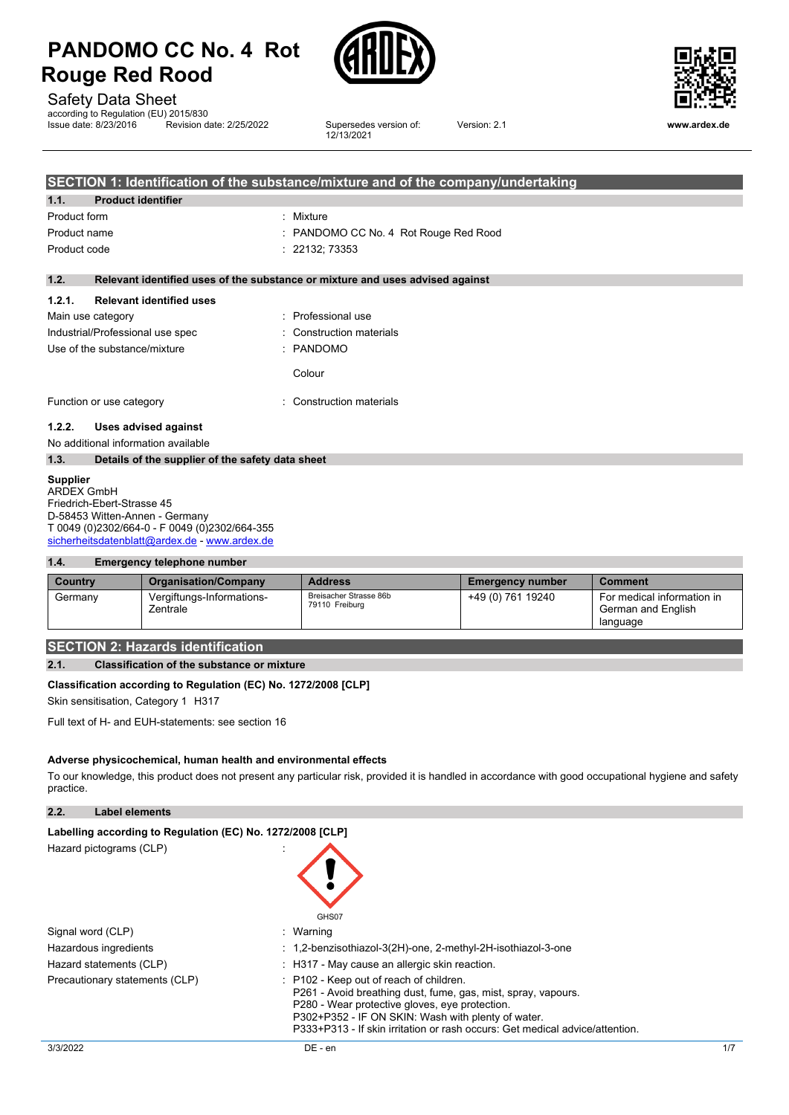



12/13/2021

Safety Data Sheet

according to Regulation (EU) 2015/830<br>Issue date: 8/23/2016 Revision d **Insulfier Revision date: 2/25/2022** Supersedes version of:



Version: 2.1 **www.ardex.de**

|                                  | <b>SECTION 1: Identification of the substance/mixture and of the company/undertaking</b> |                                                                               |  |  |  |
|----------------------------------|------------------------------------------------------------------------------------------|-------------------------------------------------------------------------------|--|--|--|
| 1.1.                             | <b>Product identifier</b>                                                                |                                                                               |  |  |  |
| Product form                     |                                                                                          | : Mixture                                                                     |  |  |  |
| Product name                     |                                                                                          | : PANDOMO CC No. 4 Rot Rouge Red Rood                                         |  |  |  |
| Product code                     |                                                                                          | : 22132; 73353                                                                |  |  |  |
| 1.2.                             |                                                                                          | Relevant identified uses of the substance or mixture and uses advised against |  |  |  |
| 1.2.1.                           | <b>Relevant identified uses</b>                                                          |                                                                               |  |  |  |
|                                  | Main use category                                                                        | : Professional use                                                            |  |  |  |
| Industrial/Professional use spec |                                                                                          | : Construction materials                                                      |  |  |  |
|                                  | Use of the substance/mixture                                                             | : PANDOMO                                                                     |  |  |  |
|                                  |                                                                                          | Colour                                                                        |  |  |  |
|                                  | Function or use category                                                                 | : Construction materials                                                      |  |  |  |
| 1.2.2.                           | <b>Uses advised against</b>                                                              |                                                                               |  |  |  |
|                                  | No additional information available                                                      |                                                                               |  |  |  |
| 1.3.                             | Details of the supplier of the safety data sheet                                         |                                                                               |  |  |  |

#### **Supplier**

ARDEX GmbH Friedrich-Ebert-Strasse 45 D-58453 Witten-Annen - Germany T 0049 (0)2302/664-0 - F 0049 (0)2302/664-355 [sicherheitsdatenblatt@ardex.de](mailto:sicherheitsdatenblatt@ardex.de) - [www.ardex.de](http://www.ardex.de/)

#### **1.4. Emergency telephone number**

| Country | <b>Organisation/Company</b>           | <b>Address</b>                           | <b>Emergency number</b> | <b>Comment</b>                                               |
|---------|---------------------------------------|------------------------------------------|-------------------------|--------------------------------------------------------------|
| Germany | Vergiftungs-Informations-<br>Zentrale | Breisacher Strasse 86b<br>79110 Freiburg | +49 (0) 761 19240       | For medical information in<br>German and English<br>language |

# **SECTION 2: Hazards identification**

#### **2.1. Classification of the substance or mixture**

#### **Classification according to Regulation (EC) No. 1272/2008 [CLP]**

Skin sensitisation, Category 1 H317

Full text of H- and EUH-statements: see section 16

#### **Adverse physicochemical, human health and environmental effects**

To our knowledge, this product does not present any particular risk, provided it is handled in accordance with good occupational hygiene and safety practice.

**2.2. Label elements**

| Labelling according to Regulation (EC) No. 1272/2008 [CLP] |                                                                                                                                                                                                                                                                                                             |
|------------------------------------------------------------|-------------------------------------------------------------------------------------------------------------------------------------------------------------------------------------------------------------------------------------------------------------------------------------------------------------|
| Hazard pictograms (CLP)                                    | GHS07                                                                                                                                                                                                                                                                                                       |
| Signal word (CLP)                                          | : Warning                                                                                                                                                                                                                                                                                                   |
| Hazardous ingredients                                      | : 1,2-benzisothiazol-3(2H)-one, 2-methyl-2H-isothiazol-3-one                                                                                                                                                                                                                                                |
| Hazard statements (CLP)                                    | : H317 - May cause an allergic skin reaction.                                                                                                                                                                                                                                                               |
| Precautionary statements (CLP)                             | $\therefore$ P102 - Keep out of reach of children.<br>P261 - Avoid breathing dust, fume, gas, mist, spray, vapours.<br>P280 - Wear protective gloves, eve protection.<br>P302+P352 - IF ON SKIN: Wash with plenty of water.<br>P333+P313 - If skin irritation or rash occurs: Get medical advice/attention. |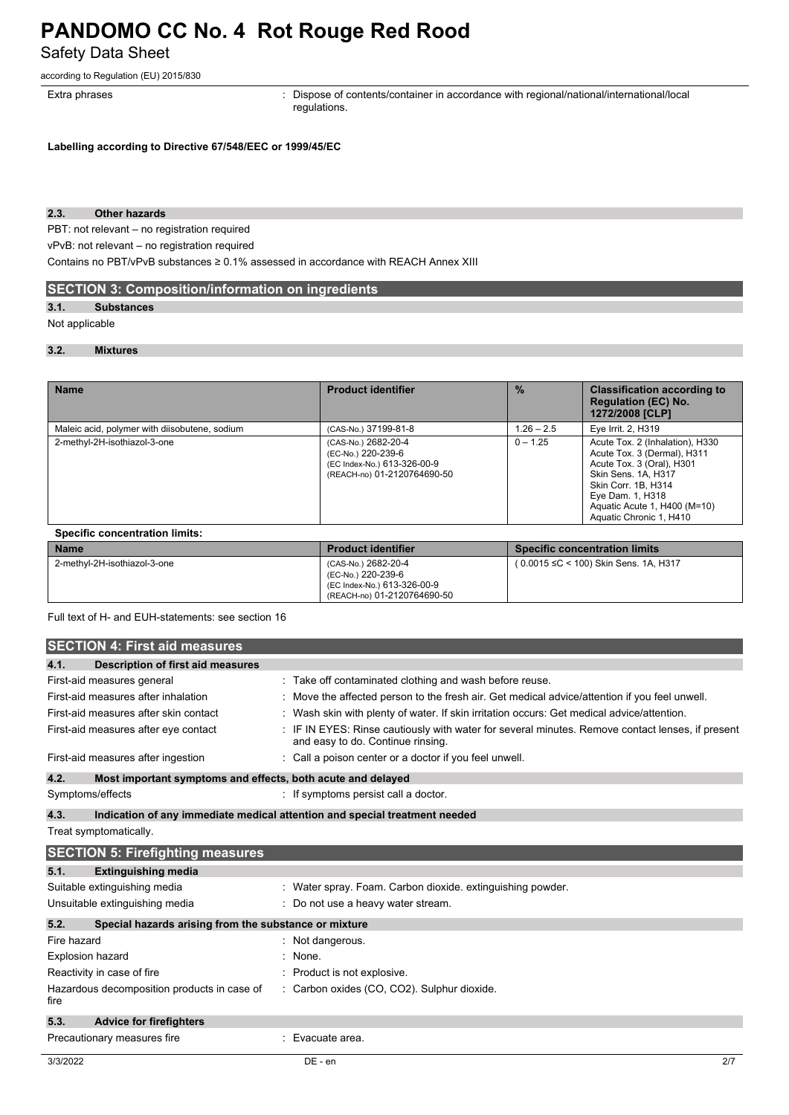Safety Data Sheet

according to Regulation (EU) 2015/830

Extra phrases **in the pharaely contents**: Dispose of contents/container in accordance with regional/national/international/local regulations.

**Labelling according to Directive 67/548/EEC or 1999/45/EC**

### **2.3. Other hazards**

PBT: not relevant – no registration required

vPvB: not relevant – no registration required

Contains no PBT/vPvB substances ≥ 0.1% assessed in accordance with REACH Annex XIII

# **SECTION 3: Composition/information on ingredients**

# **3.1. Substances**

#### Not applicable

#### **3.2. Mixtures**

| <b>Name</b>                                   | <b>Product identifier</b>                                                                               | $\frac{0}{2}$ | <b>Classification according to</b><br><b>Regulation (EC) No.</b><br>1272/2008 [CLP]                                                                                                                                      |
|-----------------------------------------------|---------------------------------------------------------------------------------------------------------|---------------|--------------------------------------------------------------------------------------------------------------------------------------------------------------------------------------------------------------------------|
| Maleic acid, polymer with diisobutene, sodium | (CAS-No.) 37199-81-8                                                                                    | $1.26 - 2.5$  | Eye Irrit. 2, H319                                                                                                                                                                                                       |
| 2-methyl-2H-isothiazol-3-one                  | (CAS-No.) 2682-20-4<br>(EC-No.) 220-239-6<br>(EC Index-No.) 613-326-00-9<br>(REACH-no) 01-2120764690-50 | $0 - 1.25$    | Acute Tox. 2 (Inhalation), H330<br>Acute Tox. 3 (Dermal), H311<br>Acute Tox. 3 (Oral), H301<br>Skin Sens, 1A, H317<br>Skin Corr. 1B. H314<br>Eve Dam. 1. H318<br>Aguatic Acute 1, H400 (M=10)<br>Aquatic Chronic 1, H410 |

| <b>Name</b>                  | <b>Product identifier</b>                                                                               | Specific concentration limits          |
|------------------------------|---------------------------------------------------------------------------------------------------------|----------------------------------------|
| 2-methyl-2H-isothiazol-3-one | (CAS-No.) 2682-20-4<br>(EC-No.) 220-239-6<br>(EC Index-No.) 613-326-00-9<br>(REACH-no) 01-2120764690-50 | ( 0.0015 ≤C < 100) Skin Sens. 1A, H317 |

Full text of H- and EUH-statements: see section 16

|             | <b>SECTION 4: First aid measures</b>                        |                                                                                                                                     |
|-------------|-------------------------------------------------------------|-------------------------------------------------------------------------------------------------------------------------------------|
| 4.1.        | Description of first aid measures                           |                                                                                                                                     |
|             | First-aid measures general                                  | : Take off contaminated clothing and wash before reuse.                                                                             |
|             | First-aid measures after inhalation                         | Move the affected person to the fresh air. Get medical advice/attention if you feel unwell.                                         |
|             | First-aid measures after skin contact                       | Wash skin with plenty of water. If skin irritation occurs: Get medical advice/attention.                                            |
|             | First-aid measures after eye contact                        | IF IN EYES: Rinse cautiously with water for several minutes. Remove contact lenses, if present<br>and easy to do. Continue rinsing. |
|             | First-aid measures after ingestion                          | Call a poison center or a doctor if you feel unwell.                                                                                |
| 4.2.        | Most important symptoms and effects, both acute and delayed |                                                                                                                                     |
|             | Symptoms/effects                                            | : If symptoms persist call a doctor.                                                                                                |
| 4.3.        |                                                             | Indication of any immediate medical attention and special treatment needed                                                          |
|             | Treat symptomatically.                                      |                                                                                                                                     |
|             | <b>SECTION 5: Firefighting measures</b>                     |                                                                                                                                     |
| 5.1.        | <b>Extinguishing media</b>                                  |                                                                                                                                     |
|             | Suitable extinguishing media                                | : Water spray. Foam. Carbon dioxide. extinguishing powder.                                                                          |
|             | Unsuitable extinguishing media                              | Do not use a heavy water stream.                                                                                                    |
| 5.2.        | Special hazards arising from the substance or mixture       |                                                                                                                                     |
| Fire hazard |                                                             | Not dangerous.                                                                                                                      |
|             | Explosion hazard                                            | None.                                                                                                                               |
|             | Reactivity in case of fire                                  | Product is not explosive.                                                                                                           |
| fire        | Hazardous decomposition products in case of                 | : Carbon oxides (CO, CO2). Sulphur dioxide.                                                                                         |
| 5.3.        | <b>Advice for firefighters</b>                              |                                                                                                                                     |
|             | Precautionary measures fire                                 | Evacuate area.                                                                                                                      |
| 3/3/2022    |                                                             | DE - en<br>2/7                                                                                                                      |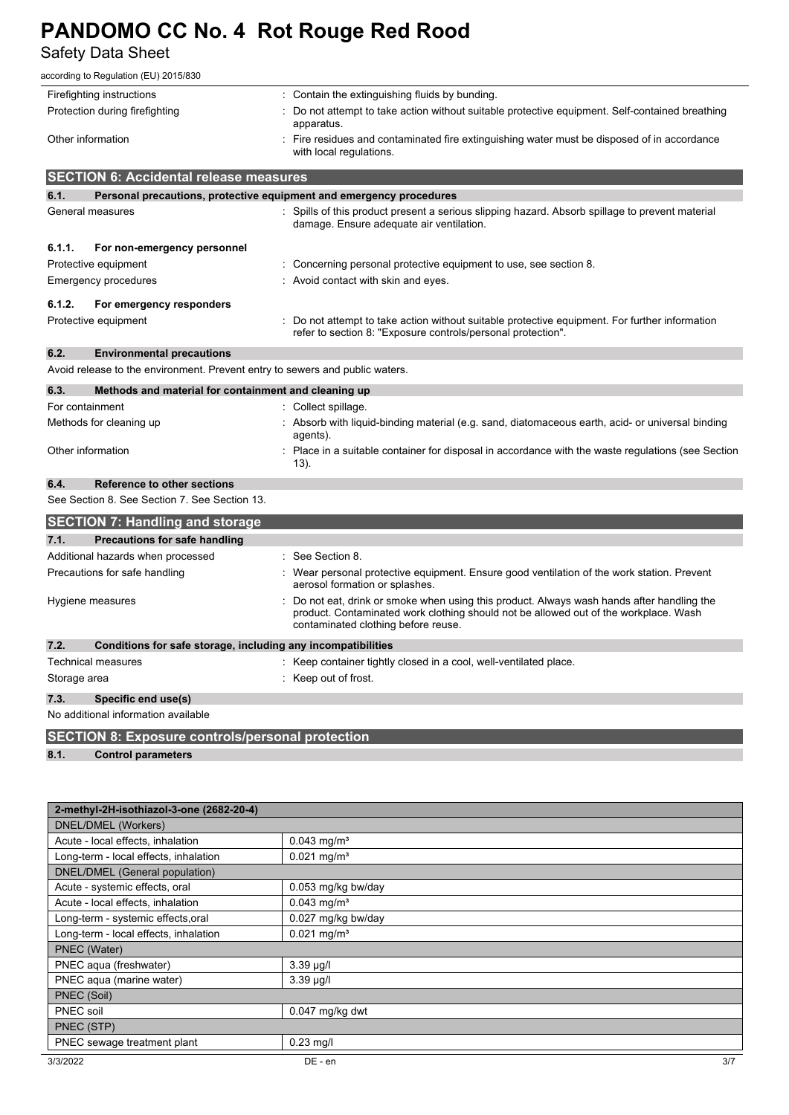Safety Data Sheet

| according to Regulation (EU) 2015/830                                        |                                                                                                                                                                                                                         |  |  |  |  |  |
|------------------------------------------------------------------------------|-------------------------------------------------------------------------------------------------------------------------------------------------------------------------------------------------------------------------|--|--|--|--|--|
| Firefighting instructions                                                    | : Contain the extinguishing fluids by bunding.                                                                                                                                                                          |  |  |  |  |  |
| Protection during firefighting                                               | Do not attempt to take action without suitable protective equipment. Self-contained breathing<br>apparatus.                                                                                                             |  |  |  |  |  |
| Other information                                                            | Fire residues and contaminated fire extinguishing water must be disposed of in accordance<br>with local regulations.                                                                                                    |  |  |  |  |  |
| <b>SECTION 6: Accidental release measures</b>                                |                                                                                                                                                                                                                         |  |  |  |  |  |
| 6.1.                                                                         | Personal precautions, protective equipment and emergency procedures                                                                                                                                                     |  |  |  |  |  |
| General measures                                                             | : Spills of this product present a serious slipping hazard. Absorb spillage to prevent material<br>damage. Ensure adequate air ventilation.                                                                             |  |  |  |  |  |
| 6.1.1.<br>For non-emergency personnel                                        |                                                                                                                                                                                                                         |  |  |  |  |  |
| Protective equipment                                                         | Concerning personal protective equipment to use, see section 8.                                                                                                                                                         |  |  |  |  |  |
| Emergency procedures                                                         | : Avoid contact with skin and eyes.                                                                                                                                                                                     |  |  |  |  |  |
| 6.1.2.<br>For emergency responders                                           |                                                                                                                                                                                                                         |  |  |  |  |  |
| Protective equipment                                                         | : Do not attempt to take action without suitable protective equipment. For further information<br>refer to section 8: "Exposure controls/personal protection".                                                          |  |  |  |  |  |
| 6.2.<br><b>Environmental precautions</b>                                     |                                                                                                                                                                                                                         |  |  |  |  |  |
| Avoid release to the environment. Prevent entry to sewers and public waters. |                                                                                                                                                                                                                         |  |  |  |  |  |
| 6.3.                                                                         | Methods and material for containment and cleaning up                                                                                                                                                                    |  |  |  |  |  |
| For containment                                                              | : Collect spillage.                                                                                                                                                                                                     |  |  |  |  |  |
| Methods for cleaning up                                                      | Absorb with liquid-binding material (e.g. sand, diatomaceous earth, acid- or universal binding<br>agents).                                                                                                              |  |  |  |  |  |
| Other information                                                            | Place in a suitable container for disposal in accordance with the waste regulations (see Section<br>13).                                                                                                                |  |  |  |  |  |
| 6.4.<br>Reference to other sections                                          |                                                                                                                                                                                                                         |  |  |  |  |  |
| See Section 8. See Section 7. See Section 13.                                |                                                                                                                                                                                                                         |  |  |  |  |  |
| <b>SECTION 7: Handling and storage</b>                                       |                                                                                                                                                                                                                         |  |  |  |  |  |
| 7.1.<br><b>Precautions for safe handling</b>                                 |                                                                                                                                                                                                                         |  |  |  |  |  |
| Additional hazards when processed                                            | See Section 8.                                                                                                                                                                                                          |  |  |  |  |  |
| Precautions for safe handling                                                | Wear personal protective equipment. Ensure good ventilation of the work station. Prevent<br>aerosol formation or splashes.                                                                                              |  |  |  |  |  |
| Hygiene measures                                                             | Do not eat, drink or smoke when using this product. Always wash hands after handling the<br>product. Contaminated work clothing should not be allowed out of the workplace. Wash<br>contaminated clothing before reuse. |  |  |  |  |  |
| 7.2.<br>Conditions for safe storage, including any incompatibilities         |                                                                                                                                                                                                                         |  |  |  |  |  |
| <b>Technical measures</b>                                                    | : Keep container tightly closed in a cool, well-ventilated place.                                                                                                                                                       |  |  |  |  |  |
| Storage area                                                                 | : Keep out of frost.                                                                                                                                                                                                    |  |  |  |  |  |
| 7.3.<br>Specific end use(s)                                                  |                                                                                                                                                                                                                         |  |  |  |  |  |
| No additional information available                                          |                                                                                                                                                                                                                         |  |  |  |  |  |

**SECTION 8: Exposure controls/personal protection**

**8.1. Control parameters**

| 2-methyl-2H-isothiazol-3-one (2682-20-4) |                           |  |  |  |
|------------------------------------------|---------------------------|--|--|--|
| DNEL/DMEL (Workers)                      |                           |  |  |  |
| Acute - local effects, inhalation        | $0.043$ mg/m <sup>3</sup> |  |  |  |
| Long-term - local effects, inhalation    | $0.021$ mg/m <sup>3</sup> |  |  |  |
| DNEL/DMEL (General population)           |                           |  |  |  |
| Acute - systemic effects, oral           | 0.053 mg/kg bw/day        |  |  |  |
| Acute - local effects, inhalation        | $0.043$ mg/m <sup>3</sup> |  |  |  |
| Long-term - systemic effects, oral       | 0.027 mg/kg bw/day        |  |  |  |
| Long-term - local effects, inhalation    | $0.021$ mg/m <sup>3</sup> |  |  |  |
| PNEC (Water)                             |                           |  |  |  |
| PNEC aqua (freshwater)                   | 3.39 µg/l                 |  |  |  |
| PNEC aqua (marine water)                 | $3.39 \mu g/l$            |  |  |  |
| PNEC (Soil)                              |                           |  |  |  |
| PNEC soil                                | $0.047$ mg/kg dwt         |  |  |  |
| PNEC (STP)                               |                           |  |  |  |
| PNEC sewage treatment plant              | $0.23$ mg/l               |  |  |  |
| 3/3/2022                                 | 3/7<br>DE - en            |  |  |  |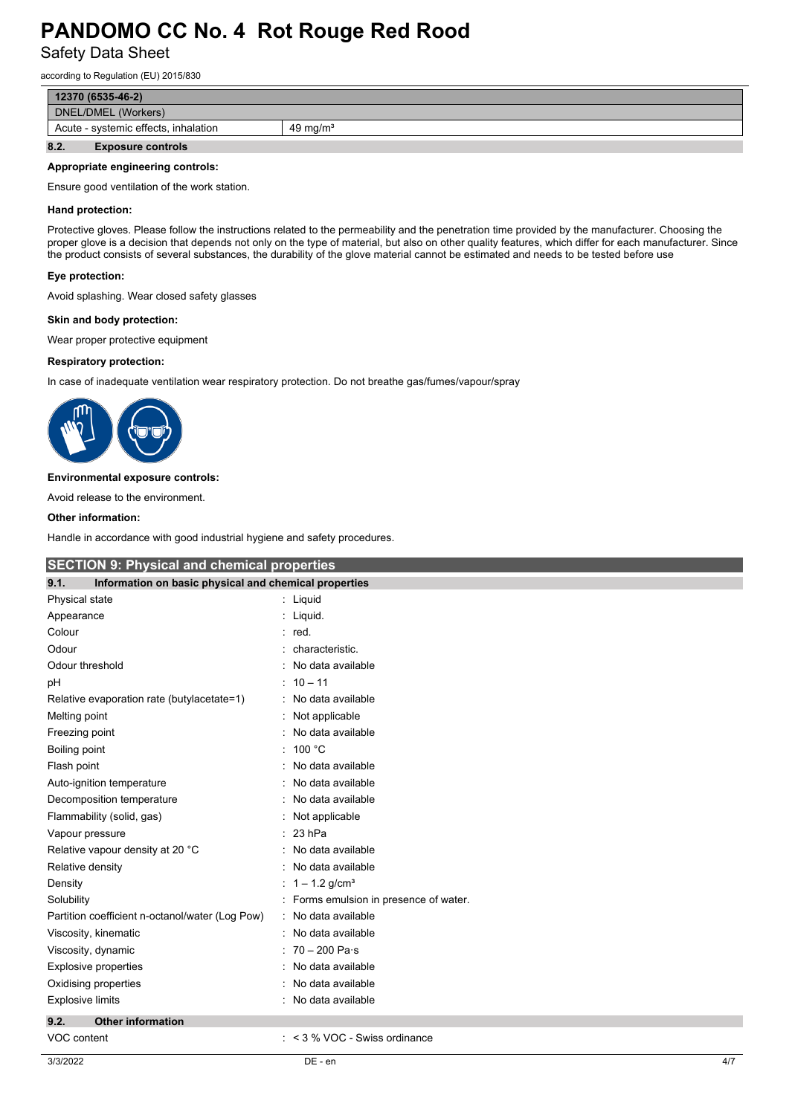Safety Data Sheet

according to Regulation (EU) 2015/830

| $12370(6535-46-2)$                                          |  |  |  |  |  |
|-------------------------------------------------------------|--|--|--|--|--|
| DNEL/DMEL (Workers)                                         |  |  |  |  |  |
| Acute - systemic effects, inhalation<br>$49 \text{ ma/m}^3$ |  |  |  |  |  |
| 8.2.<br><b>Exposure controls</b>                            |  |  |  |  |  |

#### **Appropriate engineering controls:**

Ensure good ventilation of the work station.

#### **Hand protection:**

Protective gloves. Please follow the instructions related to the permeability and the penetration time provided by the manufacturer. Choosing the proper glove is a decision that depends not only on the type of material, but also on other quality features, which differ for each manufacturer. Since the product consists of several substances, the durability of the glove material cannot be estimated and needs to be tested before use

#### **Eye protection:**

Avoid splashing. Wear closed safety glasses

#### **Skin and body protection:**

Wear proper protective equipment

#### **Respiratory protection:**

In case of inadequate ventilation wear respiratory protection. Do not breathe gas/fumes/vapour/spray



#### **Environmental exposure controls:**

Avoid release to the environment.

#### **Other information:**

Handle in accordance with good industrial hygiene and safety procedures.

| <b>SECTION 9: Physical and chemical properties</b>            |                                      |  |  |  |  |  |
|---------------------------------------------------------------|--------------------------------------|--|--|--|--|--|
| Information on basic physical and chemical properties<br>9.1. |                                      |  |  |  |  |  |
| Physical state                                                | : Liquid                             |  |  |  |  |  |
| Appearance                                                    | : Liquid.                            |  |  |  |  |  |
| Colour                                                        | red.                                 |  |  |  |  |  |
| Odour                                                         | characteristic.                      |  |  |  |  |  |
| Odour threshold                                               | No data available                    |  |  |  |  |  |
| pH                                                            | $10 - 11$<br>٠                       |  |  |  |  |  |
| Relative evaporation rate (butylacetate=1)                    | No data available                    |  |  |  |  |  |
| Melting point                                                 | Not applicable                       |  |  |  |  |  |
| Freezing point                                                | No data available                    |  |  |  |  |  |
| Boiling point                                                 | 100 °C<br>٠                          |  |  |  |  |  |
| Flash point                                                   | No data available                    |  |  |  |  |  |
| Auto-ignition temperature                                     | No data available                    |  |  |  |  |  |
| Decomposition temperature                                     | No data available                    |  |  |  |  |  |
| Flammability (solid, gas)                                     | Not applicable                       |  |  |  |  |  |
| Vapour pressure                                               | 23 hPa                               |  |  |  |  |  |
| Relative vapour density at 20 °C                              | No data available                    |  |  |  |  |  |
| Relative density                                              | No data available                    |  |  |  |  |  |
| Density                                                       | $1 - 1.2$ g/cm <sup>3</sup>          |  |  |  |  |  |
| Solubility                                                    | Forms emulsion in presence of water. |  |  |  |  |  |
| Partition coefficient n-octanol/water (Log Pow)               | No data available                    |  |  |  |  |  |
| Viscosity, kinematic                                          | No data available                    |  |  |  |  |  |
| Viscosity, dynamic                                            | $70 - 200$ Pa $\cdot$ s              |  |  |  |  |  |
| Explosive properties                                          | No data available                    |  |  |  |  |  |
| Oxidising properties                                          | No data available                    |  |  |  |  |  |
| <b>Explosive limits</b>                                       | No data available                    |  |  |  |  |  |
| 9.2.<br><b>Other information</b>                              |                                      |  |  |  |  |  |
| VOC content                                                   | $:$ < 3 % VOC - Swiss ordinance      |  |  |  |  |  |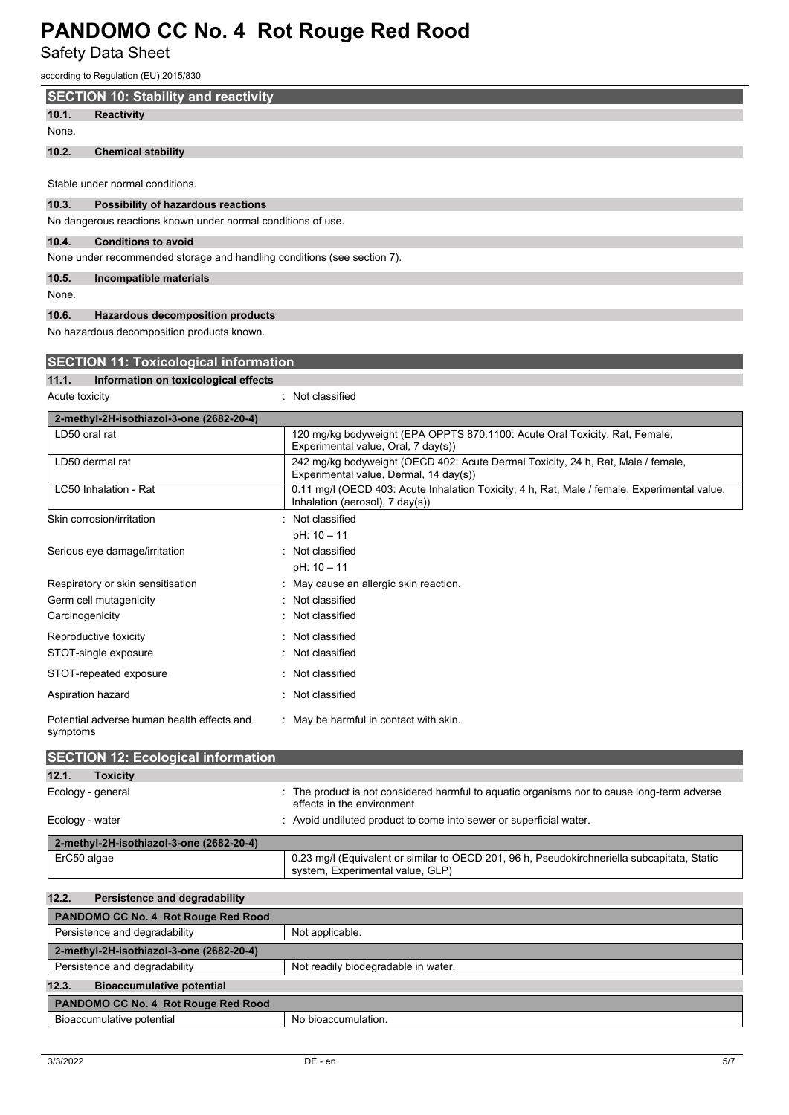Safety Data Sheet

| ccording to Regulation (EU) 2015/830                                    |                                                                                                                                 |  |  |  |  |  |  |
|-------------------------------------------------------------------------|---------------------------------------------------------------------------------------------------------------------------------|--|--|--|--|--|--|
| <b>SECTION 10: Stability and reactivity</b>                             |                                                                                                                                 |  |  |  |  |  |  |
| 10.1.<br><b>Reactivity</b>                                              |                                                                                                                                 |  |  |  |  |  |  |
| None.                                                                   |                                                                                                                                 |  |  |  |  |  |  |
| 10.2.<br><b>Chemical stability</b>                                      |                                                                                                                                 |  |  |  |  |  |  |
| Stable under normal conditions.                                         |                                                                                                                                 |  |  |  |  |  |  |
| 10.3.<br>Possibility of hazardous reactions                             |                                                                                                                                 |  |  |  |  |  |  |
| No dangerous reactions known under normal conditions of use.            |                                                                                                                                 |  |  |  |  |  |  |
| 10.4.<br><b>Conditions to avoid</b>                                     |                                                                                                                                 |  |  |  |  |  |  |
| None under recommended storage and handling conditions (see section 7). |                                                                                                                                 |  |  |  |  |  |  |
| 10.5.<br>Incompatible materials<br>None.                                |                                                                                                                                 |  |  |  |  |  |  |
| 10.6.<br><b>Hazardous decomposition products</b>                        |                                                                                                                                 |  |  |  |  |  |  |
| No hazardous decomposition products known.                              |                                                                                                                                 |  |  |  |  |  |  |
|                                                                         |                                                                                                                                 |  |  |  |  |  |  |
| <b>SECTION 11: Toxicological information</b>                            |                                                                                                                                 |  |  |  |  |  |  |
| 11.1.<br>Information on toxicological effects                           |                                                                                                                                 |  |  |  |  |  |  |
| Acute toxicity                                                          | Not classified                                                                                                                  |  |  |  |  |  |  |
| 2-methyl-2H-isothiazol-3-one (2682-20-4)                                |                                                                                                                                 |  |  |  |  |  |  |
| LD50 oral rat                                                           | 120 mg/kg bodyweight (EPA OPPTS 870.1100: Acute Oral Toxicity, Rat, Female,<br>Experimental value, Oral, 7 day(s))              |  |  |  |  |  |  |
| LD50 dermal rat                                                         | 242 mg/kg bodyweight (OECD 402: Acute Dermal Toxicity, 24 h, Rat, Male / female,<br>Experimental value, Dermal, 14 day(s))      |  |  |  |  |  |  |
| LC50 Inhalation - Rat                                                   | 0.11 mg/l (OECD 403: Acute Inhalation Toxicity, 4 h, Rat, Male / female, Experimental value,<br>Inhalation (aerosol), 7 day(s)) |  |  |  |  |  |  |
| Skin corrosion/irritation                                               | Not classified                                                                                                                  |  |  |  |  |  |  |
|                                                                         | pH: 10 - 11                                                                                                                     |  |  |  |  |  |  |
| Serious eye damage/irritation                                           | : Not classified                                                                                                                |  |  |  |  |  |  |
|                                                                         | pH: 10 - 11                                                                                                                     |  |  |  |  |  |  |
| Respiratory or skin sensitisation                                       | May cause an allergic skin reaction.                                                                                            |  |  |  |  |  |  |
| Germ cell mutagenicity                                                  | Not classified                                                                                                                  |  |  |  |  |  |  |
| Carcinogenicity                                                         | Not classified                                                                                                                  |  |  |  |  |  |  |
| Reproductive toxicity                                                   | Not classified                                                                                                                  |  |  |  |  |  |  |
| STOT-single exposure                                                    | Not classified                                                                                                                  |  |  |  |  |  |  |
| STOT-repeated exposure                                                  | Not classified                                                                                                                  |  |  |  |  |  |  |
| Aspiration hazard                                                       | Not classified                                                                                                                  |  |  |  |  |  |  |
| Potential adverse human health effects and<br>symptoms                  | : May be harmful in contact with skin.                                                                                          |  |  |  |  |  |  |
| <b>SECTION 12: Ecological information</b>                               |                                                                                                                                 |  |  |  |  |  |  |
| 12.1.<br><b>Toxicity</b>                                                |                                                                                                                                 |  |  |  |  |  |  |
| Ecology - general                                                       | The product is not considered harmful to aquatic organisms nor to cause long-term adverse<br>effects in the environment.        |  |  |  |  |  |  |
| Ecology - water                                                         | Avoid undiluted product to come into sewer or superficial water.                                                                |  |  |  |  |  |  |
| 2-methyl-2H-isothiazol-3-one (2682-20-4)                                |                                                                                                                                 |  |  |  |  |  |  |
| ErC50 algae                                                             | 0.23 mg/l (Equivalent or similar to OECD 201, 96 h, Pseudokirchneriella subcapitata, Static<br>system, Experimental value, GLP) |  |  |  |  |  |  |
| 12.2.<br>Persistence and degradability                                  |                                                                                                                                 |  |  |  |  |  |  |
| PANDOMO CC No. 4 Rot Rouge Red Rood                                     |                                                                                                                                 |  |  |  |  |  |  |
| Persistence and degradability<br>Not applicable.                        |                                                                                                                                 |  |  |  |  |  |  |
| 2-methyl-2H-isothiazol-3-one (2682-20-4)                                |                                                                                                                                 |  |  |  |  |  |  |
| Persistence and degradability                                           | Not readily biodegradable in water.                                                                                             |  |  |  |  |  |  |
| 12.3.<br><b>Bioaccumulative potential</b>                               |                                                                                                                                 |  |  |  |  |  |  |

Bioaccumulative potential No bioaccumulation.

**PANDOMO CC No. 4 Rot Rouge Red Rood**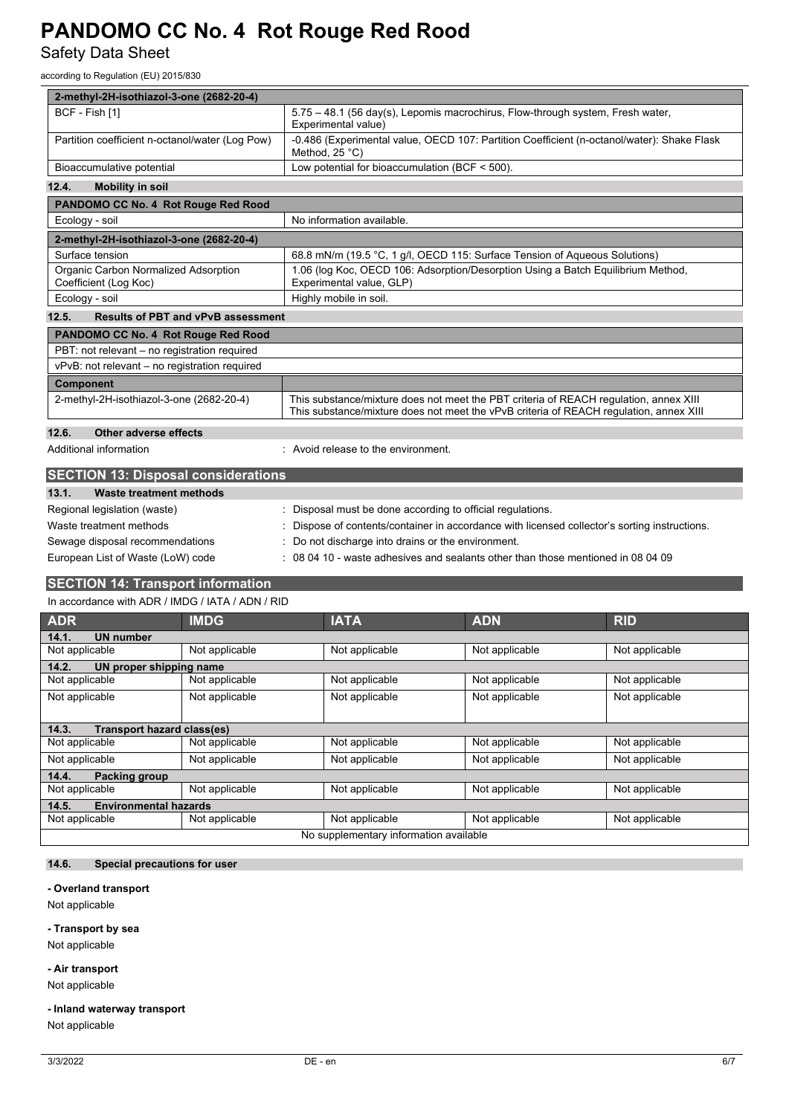Safety Data Sheet

according to Regulation (EU) 2015/830

| 2-methyl-2H-isothiazol-3-one (2682-20-4)                      |                                           |                                                                                                                                                                                 |                                                                                                                       |                |                |  |  |
|---------------------------------------------------------------|-------------------------------------------|---------------------------------------------------------------------------------------------------------------------------------------------------------------------------------|-----------------------------------------------------------------------------------------------------------------------|----------------|----------------|--|--|
| BCF - Fish [1]                                                |                                           |                                                                                                                                                                                 | 5.75 - 48.1 (56 day(s), Lepomis macrochirus, Flow-through system, Fresh water,<br>Experimental value)                 |                |                |  |  |
| Partition coefficient n-octanol/water (Log Pow)               |                                           |                                                                                                                                                                                 | -0.486 (Experimental value, OECD 107: Partition Coefficient (n-octanol/water): Shake Flask<br>Method, $25^{\circ}$ C) |                |                |  |  |
| Bioaccumulative potential                                     |                                           |                                                                                                                                                                                 | Low potential for bioaccumulation (BCF $<$ 500).                                                                      |                |                |  |  |
| 12.4.<br><b>Mobility in soil</b>                              |                                           |                                                                                                                                                                                 |                                                                                                                       |                |                |  |  |
| PANDOMO CC No. 4 Rot Rouge Red Rood                           |                                           |                                                                                                                                                                                 |                                                                                                                       |                |                |  |  |
| Ecology - soil                                                |                                           |                                                                                                                                                                                 | No information available.                                                                                             |                |                |  |  |
| 2-methyl-2H-isothiazol-3-one (2682-20-4)                      |                                           |                                                                                                                                                                                 |                                                                                                                       |                |                |  |  |
| Surface tension                                               |                                           |                                                                                                                                                                                 | 68.8 mN/m (19.5 °C, 1 g/l, OECD 115: Surface Tension of Aqueous Solutions)                                            |                |                |  |  |
| Organic Carbon Normalized Adsorption<br>Coefficient (Log Koc) |                                           |                                                                                                                                                                                 | 1.06 (log Koc, OECD 106: Adsorption/Desorption Using a Batch Equilibrium Method,<br>Experimental value, GLP)          |                |                |  |  |
| Ecology - soil                                                |                                           |                                                                                                                                                                                 | Highly mobile in soil.                                                                                                |                |                |  |  |
| 12.5.                                                         | <b>Results of PBT and vPvB assessment</b> |                                                                                                                                                                                 |                                                                                                                       |                |                |  |  |
| PANDOMO CC No. 4 Rot Rouge Red Rood                           |                                           |                                                                                                                                                                                 |                                                                                                                       |                |                |  |  |
| PBT: not relevant - no registration required                  |                                           |                                                                                                                                                                                 |                                                                                                                       |                |                |  |  |
| vPvB: not relevant - no registration required                 |                                           |                                                                                                                                                                                 |                                                                                                                       |                |                |  |  |
| <b>Component</b>                                              |                                           |                                                                                                                                                                                 |                                                                                                                       |                |                |  |  |
| 2-methyl-2H-isothiazol-3-one (2682-20-4)                      |                                           | This substance/mixture does not meet the PBT criteria of REACH regulation, annex XIII<br>This substance/mixture does not meet the vPvB criteria of REACH regulation, annex XIII |                                                                                                                       |                |                |  |  |
| 12.6.                                                         | Other adverse effects                     |                                                                                                                                                                                 |                                                                                                                       |                |                |  |  |
| Additional information                                        |                                           | : Avoid release to the environment.                                                                                                                                             |                                                                                                                       |                |                |  |  |
|                                                               |                                           |                                                                                                                                                                                 |                                                                                                                       |                |                |  |  |
| <b>SECTION 13: Disposal considerations</b>                    |                                           |                                                                                                                                                                                 |                                                                                                                       |                |                |  |  |
| <b>Waste treatment methods</b><br>13.1.                       |                                           |                                                                                                                                                                                 |                                                                                                                       |                |                |  |  |
| Regional legislation (waste)                                  |                                           |                                                                                                                                                                                 | : Disposal must be done according to official regulations.                                                            |                |                |  |  |
| Waste treatment methods                                       |                                           |                                                                                                                                                                                 | Dispose of contents/container in accordance with licensed collector's sorting instructions.                           |                |                |  |  |
| Sewage disposal recommendations                               |                                           | Do not discharge into drains or the environment.<br>$\pm$ 08 04 10 - waste adhesives and sealants other than those mentioned in 08 04 09                                        |                                                                                                                       |                |                |  |  |
| European List of Waste (LoW) code                             |                                           |                                                                                                                                                                                 |                                                                                                                       |                |                |  |  |
| <b>SECTION 14: Transport information</b>                      |                                           |                                                                                                                                                                                 |                                                                                                                       |                |                |  |  |
| In accordance with ADR / IMDG / IATA / ADN / RID              |                                           |                                                                                                                                                                                 |                                                                                                                       |                |                |  |  |
| <b>ADR</b>                                                    | <b>IMDG</b>                               |                                                                                                                                                                                 | <b>IATA</b>                                                                                                           | <b>ADN</b>     | <b>RID</b>     |  |  |
| 14.1.<br><b>UN number</b>                                     |                                           |                                                                                                                                                                                 |                                                                                                                       |                |                |  |  |
| Not applicable                                                | Not applicable                            |                                                                                                                                                                                 | Not applicable                                                                                                        | Not applicable | Not applicable |  |  |
| 14.2.<br>UN proper shipping name                              |                                           |                                                                                                                                                                                 |                                                                                                                       |                |                |  |  |
| Not applicable                                                | Not applicable                            |                                                                                                                                                                                 | Not applicable                                                                                                        | Not applicable | Not applicable |  |  |
| Not applicable                                                | Not applicable                            |                                                                                                                                                                                 | Not applicable                                                                                                        | Not applicable | Not applicable |  |  |
| 14.3.<br><b>Transport hazard class(es)</b>                    |                                           |                                                                                                                                                                                 |                                                                                                                       |                |                |  |  |
| Not applicable                                                | Not applicable                            |                                                                                                                                                                                 | Not applicable                                                                                                        | Not applicable | Not applicable |  |  |
| Not applicable<br>Not applicable                              |                                           |                                                                                                                                                                                 | Not applicable                                                                                                        | Not applicable | Not applicable |  |  |
| 14.4.<br>Packing group                                        |                                           |                                                                                                                                                                                 |                                                                                                                       |                |                |  |  |
| Not applicable                                                | Not applicable                            |                                                                                                                                                                                 | Not applicable                                                                                                        | Not applicable | Not applicable |  |  |

Not applicable <br>
Not applicable Not applicable Not applicable Not applicable

No supplementary information available

# **14.6. Special precautions for user**

**14.5. Environmental hazards**

## **- Overland transport**

Not applicable

#### **- Transport by sea**

Not applicable

### **- Air transport**

Not applicable

# **- Inland waterway transport**

Not applicable